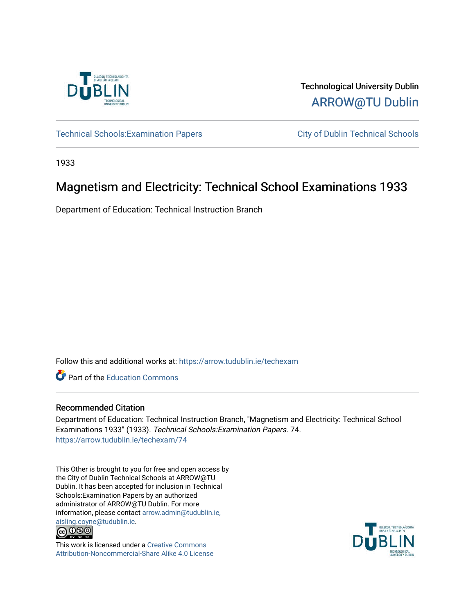

Technological University Dublin [ARROW@TU Dublin](https://arrow.tudublin.ie/) 

Technical Schools: Examination Papers City of Dublin Technical Schools

1933

# Magnetism and Electricity: Technical School Examinations 1933

Department of Education: Technical Instruction Branch

Follow this and additional works at: [https://arrow.tudublin.ie/techexam](https://arrow.tudublin.ie/techexam?utm_source=arrow.tudublin.ie%2Ftechexam%2F74&utm_medium=PDF&utm_campaign=PDFCoverPages) 

Part of the [Education Commons](http://network.bepress.com/hgg/discipline/784?utm_source=arrow.tudublin.ie%2Ftechexam%2F74&utm_medium=PDF&utm_campaign=PDFCoverPages)

## Recommended Citation

Department of Education: Technical Instruction Branch, "Magnetism and Electricity: Technical School Examinations 1933" (1933). Technical Schools:Examination Papers. 74. [https://arrow.tudublin.ie/techexam/74](https://arrow.tudublin.ie/techexam/74?utm_source=arrow.tudublin.ie%2Ftechexam%2F74&utm_medium=PDF&utm_campaign=PDFCoverPages)

This Other is brought to you for free and open access by the City of Dublin Technical Schools at ARROW@TU Dublin. It has been accepted for inclusion in Technical Schools:Examination Papers by an authorized administrator of ARROW@TU Dublin. For more information, please contact [arrow.admin@tudublin.ie,](mailto:arrow.admin@tudublin.ie,%20aisling.coyne@tudublin.ie)  [aisling.coyne@tudublin.ie.](mailto:arrow.admin@tudublin.ie,%20aisling.coyne@tudublin.ie)<br>© 000



This work is licensed under a [Creative Commons](http://creativecommons.org/licenses/by-nc-sa/4.0/) [Attribution-Noncommercial-Share Alike 4.0 License](http://creativecommons.org/licenses/by-nc-sa/4.0/)

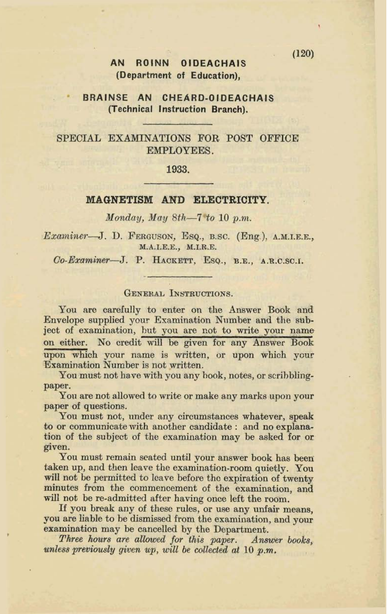#### AN ROINN OIDEACHAIS (Department of Education).

#### BRAINSE AN CHEARD-OIDEACHAIS (Technical Instruction Branch).

#### SPECIAL EXAMINATIONS FOR POST OFFICE **EMPLOYEES.**

#### 1933.

#### MAGNETISM AND ELECTRICITY.

Monday, May 8th-7 to 10 p.m.

Examiner-J. D. FERGUSON, ESQ., B.SC. (Eng.), A.M.I.E.E., M.A.I.E.E., M.I.R.E.

Co-Examiner-J. P. HACKETT, ESQ., B.E., A.R.C.SC.I.

#### GENERAL INSTRUCTIONS.

You are carefully to enter on the Answer Book and Envelope supplied your Examination Number and the subject of examination, but you are not to write your name on either. No credit will be given for any Answer Book upon which your name is written, or upon which your Examination Number is not written.

You must not have with you any book, notes, or scribblingpaper.

You are not allowed to write or make any marks upon your paper of questions.

You must not, under any circumstances whatever, speak to or communicate with another candidate : and no explanation of the subject of the examination may be asked for or given.

You must remain seated until your answer book has been taken up, and then leave the examination-room quietly. You will not be permitted to leave before the expiration of twenty minutes from the commencement of the examination, and will not be re-admitted after having once left the room.

If you break any of these rules, or use any unfair means, you are liable to be dismissed from the examination, and your examination may be cancelled by the Department.

Three hours are allowed for this paper. Answer books, unless previously given up, will be collected at 10 p.m.

 $(120)$